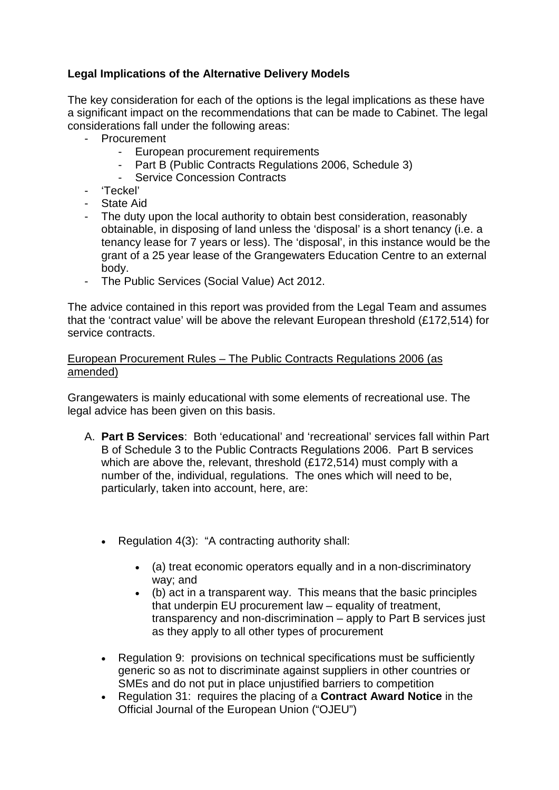# **Legal Implications of the Alternative Delivery Models**

The key consideration for each of the options is the legal implications as these have a significant impact on the recommendations that can be made to Cabinet. The legal considerations fall under the following areas:

- Procurement
	- European procurement requirements
	- Part B (Public Contracts Regulations 2006, Schedule 3)
	- Service Concession Contracts
- 'Teckel'
- State Aid
- The duty upon the local authority to obtain best consideration, reasonably obtainable, in disposing of land unless the 'disposal' is a short tenancy (i.e. a tenancy lease for 7 years or less). The 'disposal', in this instance would be the grant of a 25 year lease of the Grangewaters Education Centre to an external body.
- The Public Services (Social Value) Act 2012.

The advice contained in this report was provided from the Legal Team and assumes that the 'contract value' will be above the relevant European threshold (£172,514) for service contracts.

## European Procurement Rules – The Public Contracts Regulations 2006 (as amended)

Grangewaters is mainly educational with some elements of recreational use. The legal advice has been given on this basis.

- A. **Part B Services**: Both 'educational' and 'recreational' services fall within Part B of Schedule 3 to the Public Contracts Regulations 2006. Part B services which are above the, relevant, threshold (£172,514) must comply with a number of the, individual, regulations. The ones which will need to be, particularly, taken into account, here, are:
	- Regulation 4(3): "A contracting authority shall:
		- (a) treat economic operators equally and in a non-discriminatory way; and
		- (b) act in a transparent way. This means that the basic principles that underpin EU procurement law – equality of treatment, transparency and non-discrimination – apply to Part B services just as they apply to all other types of procurement
	- Regulation 9: provisions on technical specifications must be sufficiently generic so as not to discriminate against suppliers in other countries or SMEs and do not put in place unjustified barriers to competition
	- Regulation 31: requires the placing of a **Contract Award Notice** in the Official Journal of the European Union ("OJEU")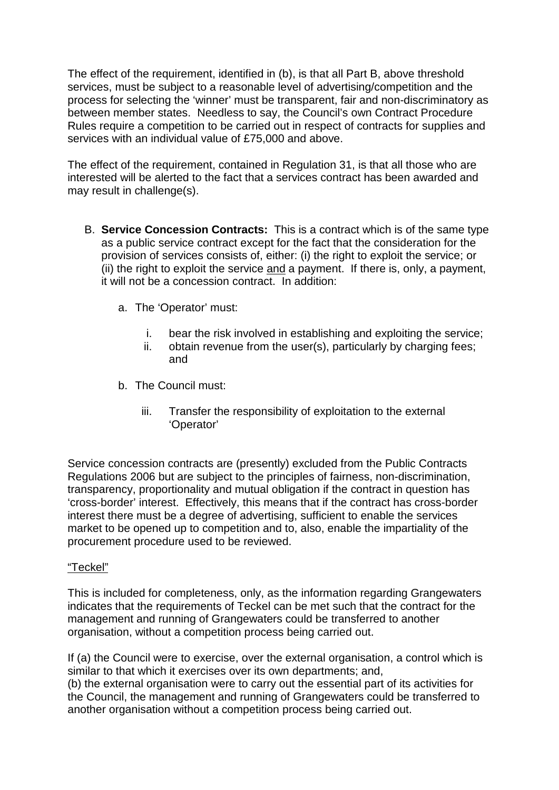The effect of the requirement, identified in (b), is that all Part B, above threshold services, must be subject to a reasonable level of advertising/competition and the process for selecting the 'winner' must be transparent, fair and non-discriminatory as between member states. Needless to say, the Council's own Contract Procedure Rules require a competition to be carried out in respect of contracts for supplies and services with an individual value of £75,000 and above.

The effect of the requirement, contained in Regulation 31, is that all those who are interested will be alerted to the fact that a services contract has been awarded and may result in challenge(s).

- B. **Service Concession Contracts:** This is a contract which is of the same type as a public service contract except for the fact that the consideration for the provision of services consists of, either: (i) the right to exploit the service; or (ii) the right to exploit the service and a payment. If there is, only, a payment, it will not be a concession contract. In addition:
	- a. The 'Operator' must:
		- i. bear the risk involved in establishing and exploiting the service;
		- ii. obtain revenue from the user(s), particularly by charging fees; and
	- b. The Council must:
		- iii. Transfer the responsibility of exploitation to the external 'Operator'

Service concession contracts are (presently) excluded from the Public Contracts Regulations 2006 but are subject to the principles of fairness, non-discrimination, transparency, proportionality and mutual obligation if the contract in question has 'cross-border' interest. Effectively, this means that if the contract has cross-border interest there must be a degree of advertising, sufficient to enable the services market to be opened up to competition and to, also, enable the impartiality of the procurement procedure used to be reviewed.

# "Teckel"

This is included for completeness, only, as the information regarding Grangewaters indicates that the requirements of Teckel can be met such that the contract for the management and running of Grangewaters could be transferred to another organisation, without a competition process being carried out.

If (a) the Council were to exercise, over the external organisation, a control which is similar to that which it exercises over its own departments; and,

(b) the external organisation were to carry out the essential part of its activities for the Council, the management and running of Grangewaters could be transferred to another organisation without a competition process being carried out.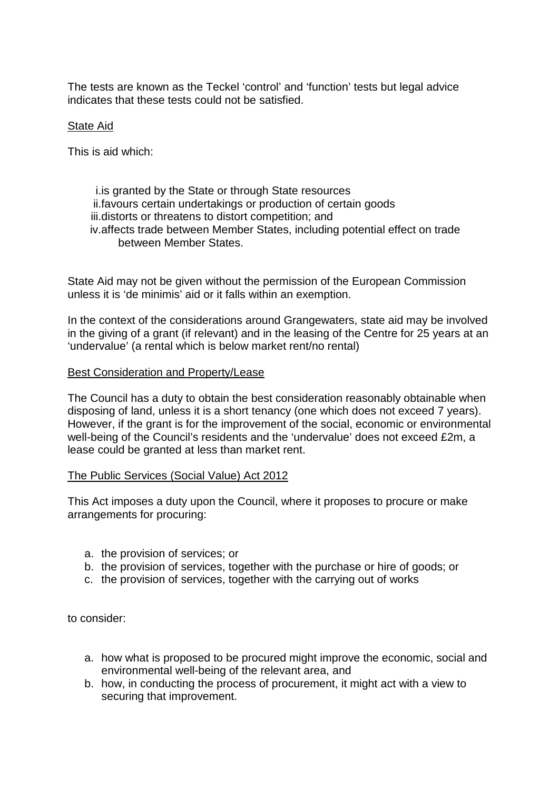The tests are known as the Teckel 'control' and 'function' tests but legal advice indicates that these tests could not be satisfied.

## State Aid

This is aid which:

#### i.is granted by the State or through State resources ii.favours certain undertakings or production of certain goods iii.distorts or threatens to distort competition; and iv.affects trade between Member States, including potential effect on trade between Member States.

State Aid may not be given without the permission of the European Commission unless it is 'de minimis' aid or it falls within an exemption.

In the context of the considerations around Grangewaters, state aid may be involved in the giving of a grant (if relevant) and in the leasing of the Centre for 25 years at an 'undervalue' (a rental which is below market rent/no rental)

#### Best Consideration and Property/Lease

The Council has a duty to obtain the best consideration reasonably obtainable when disposing of land, unless it is a short tenancy (one which does not exceed 7 years). However, if the grant is for the improvement of the social, economic or environmental well-being of the Council's residents and the 'undervalue' does not exceed £2m, a lease could be granted at less than market rent.

#### The Public Services (Social Value) Act 2012

This Act imposes a duty upon the Council, where it proposes to procure or make arrangements for procuring:

- a. the provision of services; or
- b. the provision of services, together with the purchase or hire of goods; or
- c. the provision of services, together with the carrying out of works

to consider:

- a. how what is proposed to be procured might improve the economic, social and environmental well-being of the relevant area, and
- b. how, in conducting the process of procurement, it might act with a view to securing that improvement.